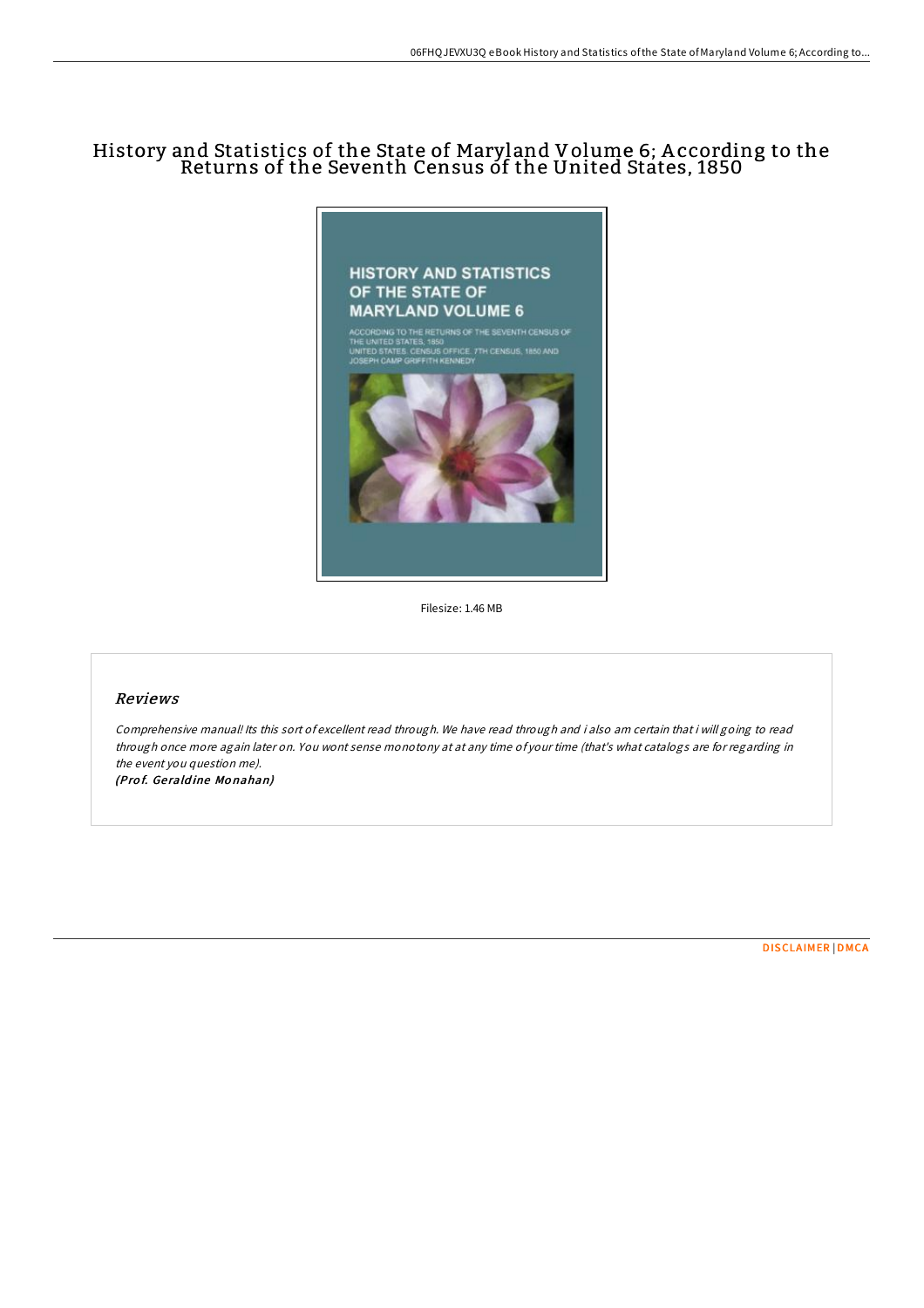# History and Statistics of the State of Maryland Volume 6; A ccording to the Returns of the Seventh Census of the United States, 1850



Filesize: 1.46 MB

## Reviews

Comprehensive manual! Its this sort of excellent read through. We have read through and i also am certain that i will going to read through once more again later on. You wont sense monotony at at any time of your time (that's what catalogs are for regarding in the event you question me). (Prof. Geraldine Monahan)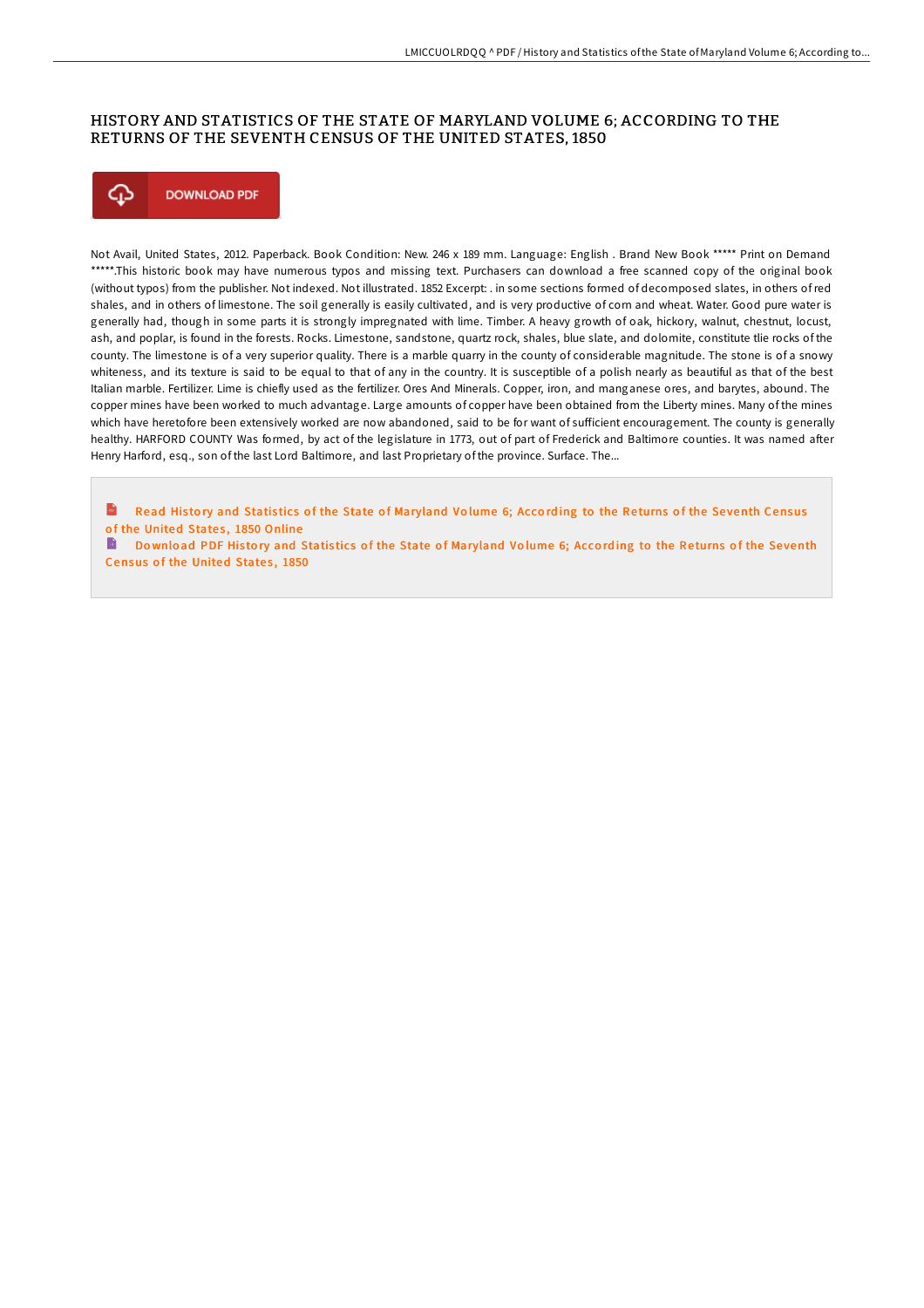### HISTORY AND STATISTICS OF THE STATE OF MARYLAND VOLUME 6; ACCORDING TO THE RETURNS OF THE SEVENTH CENSUS OF THE UNITED STATES, 1850



Not Avail, United States, 2012. Paperback. Book Condition: New. 246 x 189 mm. Language: English . Brand New Book \*\*\*\*\* Print on Demand \*\*\*\*\*.This historic book may have numerous typos and missing text. Purchasers can download a free scanned copy of the original book (without typos) from the publisher. Not indexed. Not illustrated. 1852 Excerpt: . in some sections formed of decomposed slates, in others of red shales, and in others of limestone. The soil generally is easily cultivated, and is very productive of corn and wheat. Water. Good pure water is generally had, though in some parts it is strongly impregnated with lime. Timber. A heavy growth of oak, hickory, walnut, chestnut, locust, ash, and poplar, is found in the forests. Rocks. Limestone, sandstone, quartz rock, shales, blue slate, and dolomite, constitute tlie rocks of the county. The limestone is of a very superior quality. There is a marble quarry in the county of considerable magnitude. The stone is of a snowy whiteness, and its texture is said to be equal to that of any in the country. It is susceptible of a polish nearly as beautiful as that of the best Italian marble. Fertilizer. Lime is chiefly used as the fertilizer. Ores And Minerals. Copper, iron, and manganese ores, and barytes, abound. The copper mines have been worked to much advantage. Large amounts of copper have been obtained from the Liberty mines. Many of the mines which have heretofore been extensively worked are now abandoned, said to be for want of sufficient encouragement. The county is generally healthy. HARFORD COUNTY Was formed, by act of the legislature in 1773, out of part of Frederick and Baltimore counties. It was named after Henry Harford, esq., son of the last Lord Baltimore, and last Proprietary of the province. Surface. The...

 $\mathbf{r}$ Read History and Statistics of the State of [Maryland](http://almighty24.tech/history-and-statistics-of-the-state-of-maryland-.html) Volume 6; According to the Returns of the Seventh Census of the United States, 1850 Online

Download PDF History and Statistics of the State of [Maryland](http://almighty24.tech/history-and-statistics-of-the-state-of-maryland-.html) Volume 6; According to the Returns of the Seventh Census of the United States, 1850